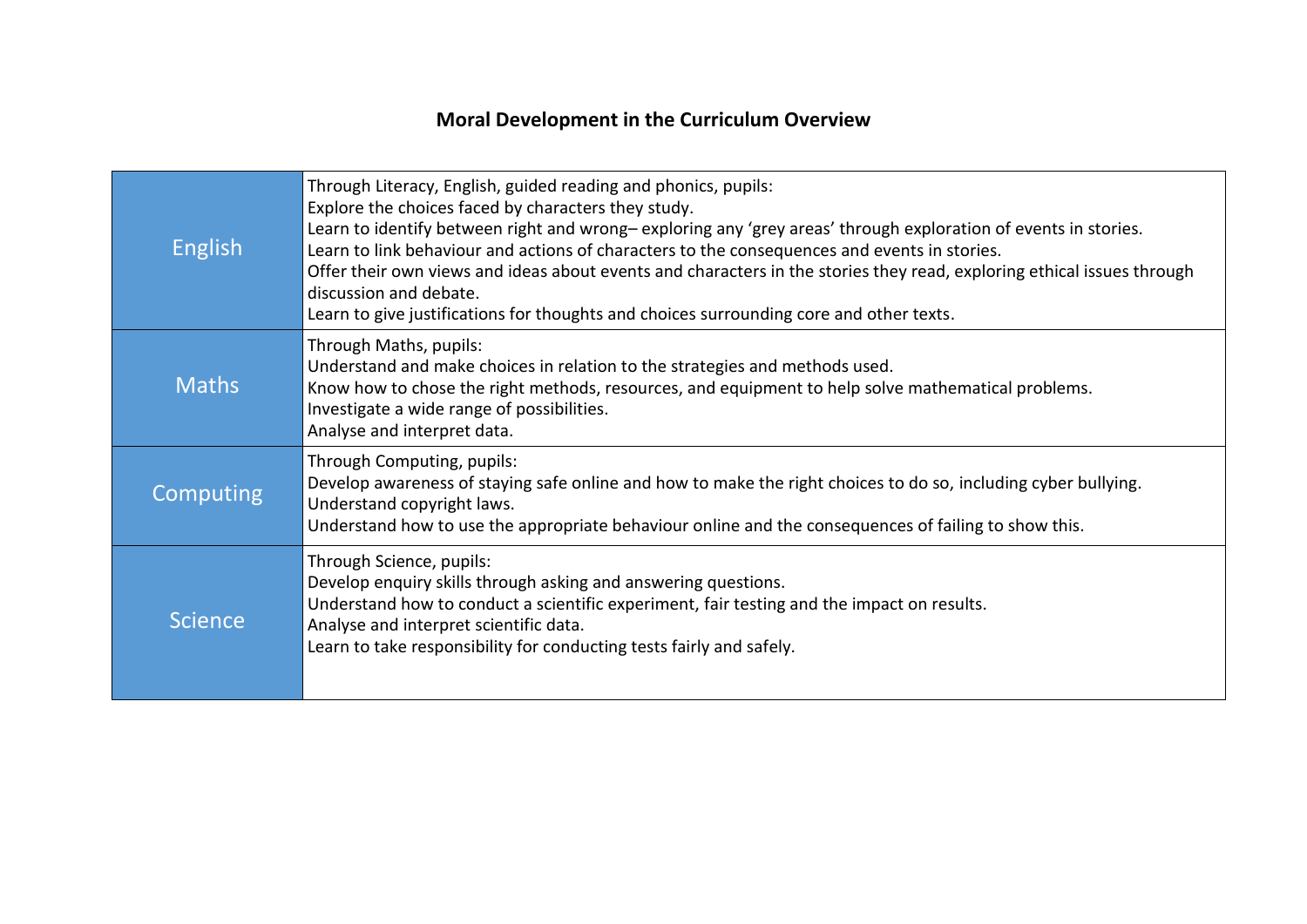## **Moral Development in the Curriculum Overview**

| <b>English</b>   | Through Literacy, English, guided reading and phonics, pupils:<br>Explore the choices faced by characters they study.<br>Learn to identify between right and wrong-exploring any 'grey areas' through exploration of events in stories.<br>Learn to link behaviour and actions of characters to the consequences and events in stories.<br>Offer their own views and ideas about events and characters in the stories they read, exploring ethical issues through<br>discussion and debate.<br>Learn to give justifications for thoughts and choices surrounding core and other texts. |
|------------------|----------------------------------------------------------------------------------------------------------------------------------------------------------------------------------------------------------------------------------------------------------------------------------------------------------------------------------------------------------------------------------------------------------------------------------------------------------------------------------------------------------------------------------------------------------------------------------------|
| <b>Maths</b>     | Through Maths, pupils:<br>Understand and make choices in relation to the strategies and methods used.<br>Know how to chose the right methods, resources, and equipment to help solve mathematical problems.<br>Investigate a wide range of possibilities.<br>Analyse and interpret data.                                                                                                                                                                                                                                                                                               |
| <b>Computing</b> | Through Computing, pupils:<br>Develop awareness of staying safe online and how to make the right choices to do so, including cyber bullying.<br>Understand copyright laws.<br>Understand how to use the appropriate behaviour online and the consequences of failing to show this.                                                                                                                                                                                                                                                                                                     |
| <b>Science</b>   | Through Science, pupils:<br>Develop enquiry skills through asking and answering questions.<br>Understand how to conduct a scientific experiment, fair testing and the impact on results.<br>Analyse and interpret scientific data.<br>Learn to take responsibility for conducting tests fairly and safely.                                                                                                                                                                                                                                                                             |